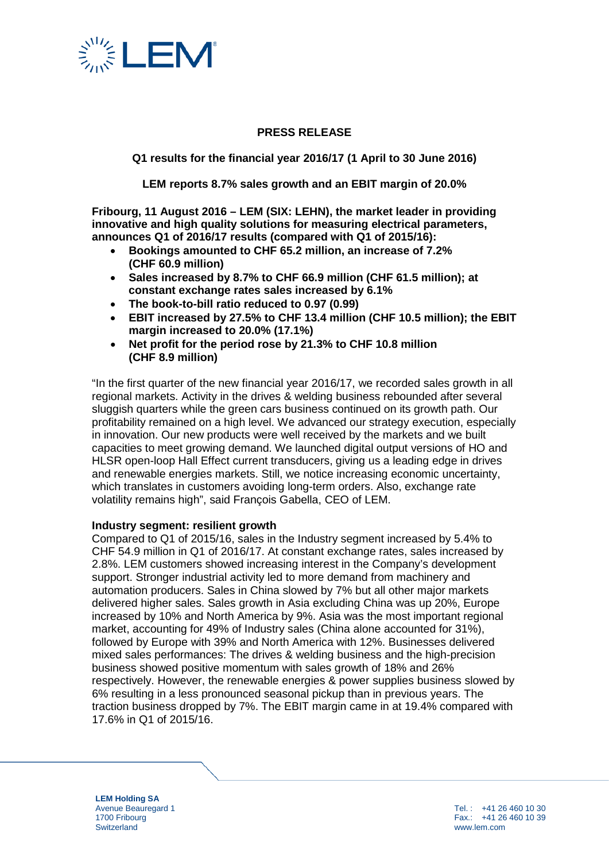

## **PRESS RELEASE**

**Q1 results for the financial year 2016/17 (1 April to 30 June 2016)**

**LEM reports 8.7% sales growth and an EBIT margin of 20.0%**

**Fribourg, 11 August 2016 – LEM (SIX: LEHN), the market leader in providing innovative and high quality solutions for measuring electrical parameters, announces Q1 of 2016/17 results (compared with Q1 of 2015/16):** 

- **Bookings amounted to CHF 65.2 million, an increase of 7.2% (CHF 60.9 million)**
- **Sales increased by 8.7% to CHF 66.9 million (CHF 61.5 million); at constant exchange rates sales increased by 6.1%**
- **The book-to-bill ratio reduced to 0.97 (0.99)**
- **EBIT increased by 27.5% to CHF 13.4 million (CHF 10.5 million); the EBIT margin increased to 20.0% (17.1%)**
- **Net profit for the period rose by 21.3% to CHF 10.8 million (CHF 8.9 million)**

"In the first quarter of the new financial year 2016/17, we recorded sales growth in all regional markets. Activity in the drives & welding business rebounded after several sluggish quarters while the green cars business continued on its growth path. Our profitability remained on a high level. We advanced our strategy execution, especially in innovation. Our new products were well received by the markets and we built capacities to meet growing demand. We launched digital output versions of HO and HLSR open-loop Hall Effect current transducers, giving us a leading edge in drives and renewable energies markets. Still, we notice increasing economic uncertainty, which translates in customers avoiding long-term orders. Also, exchange rate volatility remains high", said François Gabella, CEO of LEM.

#### **Industry segment: resilient growth**

Compared to Q1 of 2015/16, sales in the Industry segment increased by 5.4% to CHF 54.9 million in Q1 of 2016/17. At constant exchange rates, sales increased by 2.8%. LEM customers showed increasing interest in the Company's development support. Stronger industrial activity led to more demand from machinery and automation producers. Sales in China slowed by 7% but all other major markets delivered higher sales. Sales growth in Asia excluding China was up 20%, Europe increased by 10% and North America by 9%. Asia was the most important regional market, accounting for 49% of Industry sales (China alone accounted for 31%), followed by Europe with 39% and North America with 12%. Businesses delivered mixed sales performances: The drives & welding business and the high-precision business showed positive momentum with sales growth of 18% and 26% respectively. However, the renewable energies & power supplies business slowed by 6% resulting in a less pronounced seasonal pickup than in previous years. The traction business dropped by 7%. The EBIT margin came in at 19.4% compared with 17.6% in Q1 of 2015/16.

**LEM Holding SA** Avenue Beauregard 1 1700 Fribourg **Switzerland** 

Tel. : +41 26 460 10 30 Fax.: +41 26 460 10 39 www.lem.com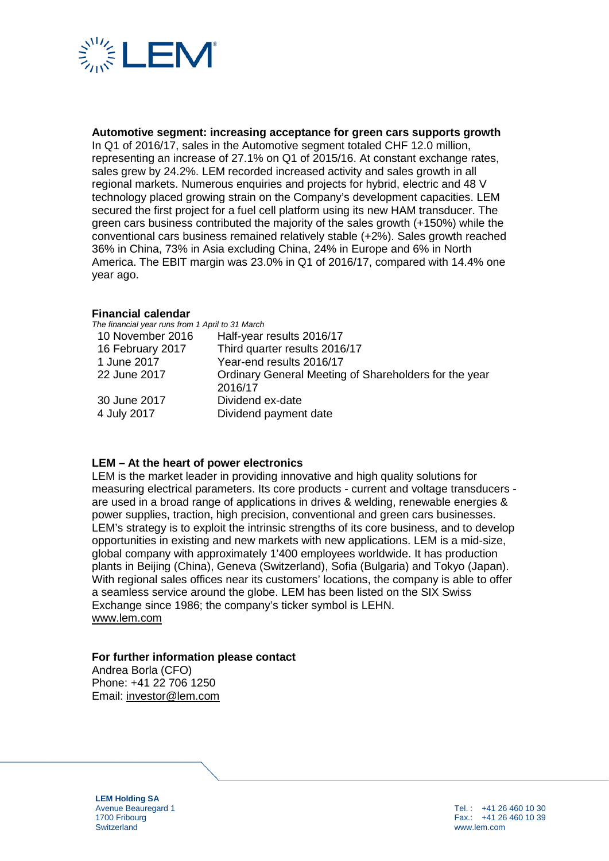

**Automotive segment: increasing acceptance for green cars supports growth**

In Q1 of 2016/17, sales in the Automotive segment totaled CHF 12.0 million, representing an increase of 27.1% on Q1 of 2015/16. At constant exchange rates, sales grew by 24.2%. LEM recorded increased activity and sales growth in all regional markets. Numerous enquiries and projects for hybrid, electric and 48 V technology placed growing strain on the Company's development capacities. LEM secured the first project for a fuel cell platform using its new HAM transducer. The green cars business contributed the majority of the sales growth (+150%) while the conventional cars business remained relatively stable (+2%). Sales growth reached 36% in China, 73% in Asia excluding China, 24% in Europe and 6% in North America. The EBIT margin was 23.0% in Q1 of 2016/17, compared with 14.4% one year ago.

### **Financial calendar**

| The financial year runs from 1 April to 31 March      |
|-------------------------------------------------------|
| Half-year results 2016/17                             |
| Third quarter results 2016/17                         |
| Year-end results 2016/17                              |
| Ordinary General Meeting of Shareholders for the year |
| 2016/17                                               |
| Dividend ex-date                                      |
| Dividend payment date                                 |
|                                                       |

#### **LEM – At the heart of power electronics**

LEM is the market leader in providing innovative and high quality solutions for measuring electrical parameters. Its core products - current and voltage transducers are used in a broad range of applications in drives & welding, renewable energies & power supplies, traction, high precision, conventional and green cars businesses. LEM's strategy is to exploit the intrinsic strengths of its core business, and to develop opportunities in existing and new markets with new applications. LEM is a mid-size, global company with approximately 1'400 employees worldwide. It has production plants in Beijing (China), Geneva (Switzerland), Sofia (Bulgaria) and Tokyo (Japan). With regional sales offices near its customers' locations, the company is able to offer a seamless service around the globe. LEM has been listed on the SIX Swiss Exchange since 1986; the company's ticker symbol is LEHN. [www.lem.com](http://www.lem.com/)

### **For further information please contact**

Andrea Borla (CFO) Phone: +41 22 706 1250 Email: [investor@lem.com](mailto:investor@lem.com)

**LEM Holding SA** Avenue Beauregard 1 1700 Fribourg **Switzerland** 

Tel. : +41 26 460 10 30 Fax.: +41 26 460 10 39 www.lem.com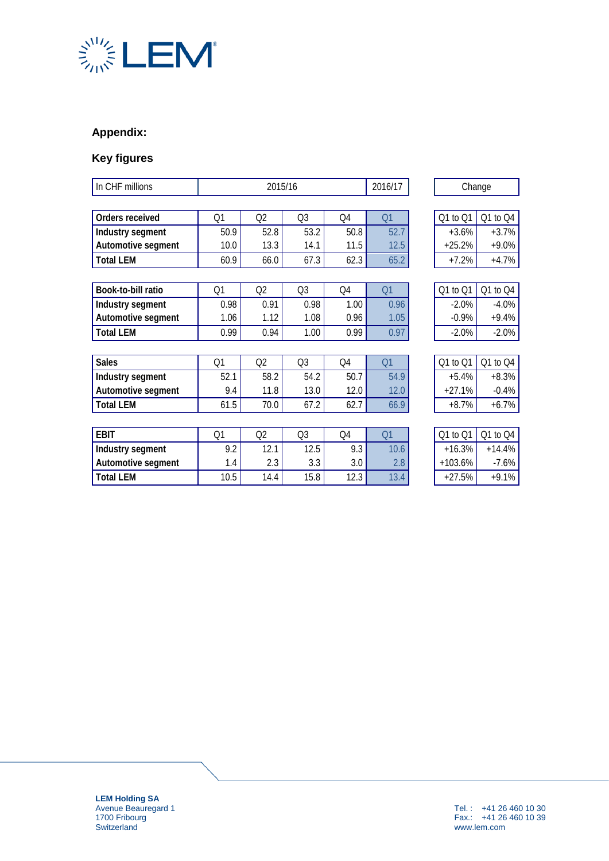

# **Appendix:**

# **Key figures**

| In CHF millions    | 2015/16 |      |                |      | 2016/17 | Change    |          |  |
|--------------------|---------|------|----------------|------|---------|-----------|----------|--|
|                    |         |      |                |      |         |           |          |  |
| Orders received    | Q1      | Q2   | Q <sub>3</sub> | Q4   | Q1      | Q1 to Q1  | Q1 to Q4 |  |
| Industry segment   | 50.9    | 52.8 | 53.2           | 50.8 | 52.7    | $+3.6%$   | $+3.7%$  |  |
| Automotive segment | 10.0    | 13.3 | 14.1           | 11.5 | 12.5    | $+25.2%$  | $+9.0%$  |  |
| <b>Total LEM</b>   | 60.9    | 66.0 | 67.3           | 62.3 | 65.2    | $+7.2%$   | $+4.7%$  |  |
|                    |         |      |                |      |         |           |          |  |
| Book-to-bill ratio | Q1      | Q2   | Q3             | Q4   | Q1      | Q1 to Q1  | Q1 to Q4 |  |
| Industry segment   | 0.98    | 0.91 | 0.98           | 1.00 | 0.96    | $-2.0%$   | $-4.0%$  |  |
| Automotive segment | 1.06    | 1.12 | 1.08           | 0.96 | 1.05    | $-0.9%$   | $+9.4%$  |  |
| <b>Total LEM</b>   | 0.99    | 0.94 | 1.00           | 0.99 | 0.97    | $-2.0%$   | $-2.0%$  |  |
|                    |         |      |                |      |         |           |          |  |
| <b>Sales</b>       | Q1      | Q2   | Q <sub>3</sub> | Q4   | Q1      | Q1 to Q1  | Q1 to Q4 |  |
| Industry segment   | 52.1    | 58.2 | 54.2           | 50.7 | 54.9    | $+5.4%$   | $+8.3%$  |  |
| Automotive segment | 9.4     | 11.8 | 13.0           | 12.0 | 12.0    | $+27.1%$  | $-0.4%$  |  |
| <b>Total LEM</b>   | 61.5    | 70.0 | 67.2           | 62.7 | 66.9    | $+8.7%$   | $+6.7%$  |  |
|                    |         |      |                |      |         |           |          |  |
| <b>EBIT</b>        | Q1      | Q2   | Q <sub>3</sub> | Q4   | Q1      | Q1 to Q1  | Q1 to Q4 |  |
| Industry segment   | 9.2     | 12.1 | 12.5           | 9.3  | 10.6    | $+16.3%$  | $+14.4%$ |  |
| Automotive segment | 1.4     | 2.3  | 3.3            | 3.0  | 2.8     | $+103.6%$ | $-7.6%$  |  |
| <b>Total LEM</b>   | 10.5    | 14.4 | 15.8           | 12.3 | 13.4    | $+27.5%$  | $+9.1%$  |  |

**LEM Holding SA** Avenue Beauregard 1 1700 Fribourg **Switzerland**